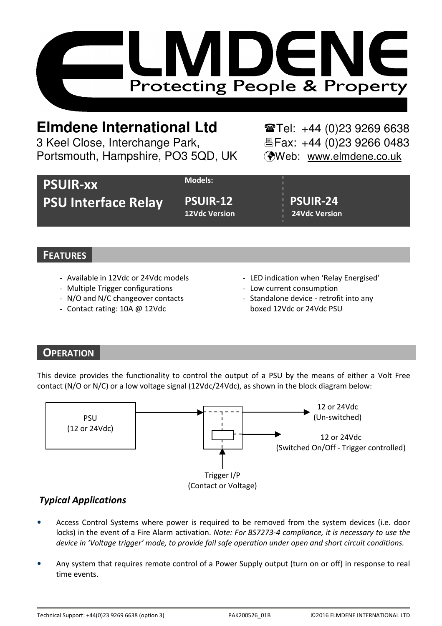

# **Elmdene International Ltd** Tel: +44 (0)23 9269 6638

3 Keel Close, Interchange Park, Electric Fax: +44 (0)23 9266 0483 Portsmouth, Hampshire, PO3 5QD, UK (Web: www.elmdene.co.uk

|                            | Models:              |                      |
|----------------------------|----------------------|----------------------|
| <b>PSUIR-XX</b>            |                      |                      |
|                            |                      |                      |
| <b>PSU Interface Relay</b> | <b>PSUIR-12</b>      | <b>PSUIR-24</b>      |
|                            |                      |                      |
|                            | <b>12Vdc Version</b> | <b>24Vdc Version</b> |

## **FEATURES**

- Available in 12Vdc or 24Vdc models
- Multiple Trigger configurations
- N/O and N/C changeover contacts
- Contact rating: 10A @ 12Vdc
- LED indication when 'Relay Energised'
- Low current consumption
- Standalone device retrofit into any boxed 12Vdc or 24Vdc PSU

# **OPERATION**

This device provides the functionality to control the output of a PSU by the means of either a Volt Free contact (N/O or N/C) or a low voltage signal (12Vdc/24Vdc), as shown in the block diagram below:



## Typical Applications

- Access Control Systems where power is required to be removed from the system devices (i.e. door locks) in the event of a Fire Alarm activation. Note: For BS7273-4 compliance, it is necessary to use the device in 'Voltage trigger' mode, to provide fail safe operation under open and short circuit conditions.
- Any system that requires remote control of a Power Supply output (turn on or off) in response to real time events.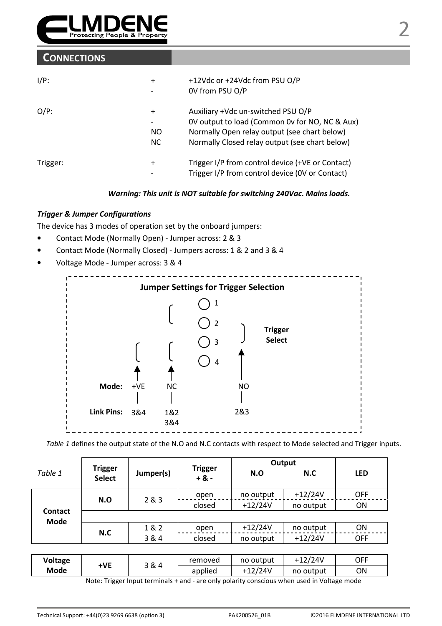

### **CONNECTIONS**

| $I/P$ :  | $\ddot{}$                    | +12Vdc or +24Vdc from PSU O/P<br>OV from PSU O/P |
|----------|------------------------------|--------------------------------------------------|
| $O/P$ :  | $\ddot{}$                    | Auxiliary +Vdc un-switched PSU O/P               |
|          | $\qquad \qquad \blacksquare$ | OV output to load (Common Ov for NO, NC & Aux)   |
|          | NO.                          | Normally Open relay output (see chart below)     |
|          | NC.                          | Normally Closed relay output (see chart below)   |
| Trigger: | $\ddot{}$                    | Trigger I/P from control device (+VE or Contact) |
|          | -                            | Trigger I/P from control device (OV or Contact)  |

Warning: This unit is NOT suitable for switching 240Vac. Mains loads.

#### Trigger & Jumper Configurations

The device has 3 modes of operation set by the onboard jumpers:

- Contact Mode (Normally Open) Jumper across: 2 & 3
- Contact Mode (Normally Closed) Jumpers across: 1 & 2 and 3 & 4
- Voltage Mode Jumper across: 3 & 4



Table 1 defines the output state of the N.O and N.C contacts with respect to Mode selected and Trigger inputs.

|                 | <b>Trigger</b> | Jumper(s) | <b>Trigger</b><br>$+8. -$ | Output    |           |            |
|-----------------|----------------|-----------|---------------------------|-----------|-----------|------------|
| Table 1         | <b>Select</b>  |           |                           | N.O       | N.C       | <b>LED</b> |
|                 | N.O            | 2 & 3     | open                      | no output | $+12/24V$ | <b>OFF</b> |
|                 |                |           | closed                    | $+12/24V$ | no output | ON         |
| Contact<br>Mode |                |           |                           |           |           |            |
|                 | N.C            | 1&2       | open                      | $+12/24V$ | no output | ON         |
|                 |                | 3 & 4     | closed                    | no output | $+12/24V$ | <b>OFF</b> |
|                 |                |           |                           |           |           |            |

| Mode<br>./24V<br>OΝ<br>no output<br>applied | Voltage | ١VE | २& 4 | removed | no output | +12/24V | OFF |
|---------------------------------------------|---------|-----|------|---------|-----------|---------|-----|
|                                             |         |     |      |         |           |         |     |

Note: Trigger Input terminals + and - are only polarity conscious when used in Voltage mode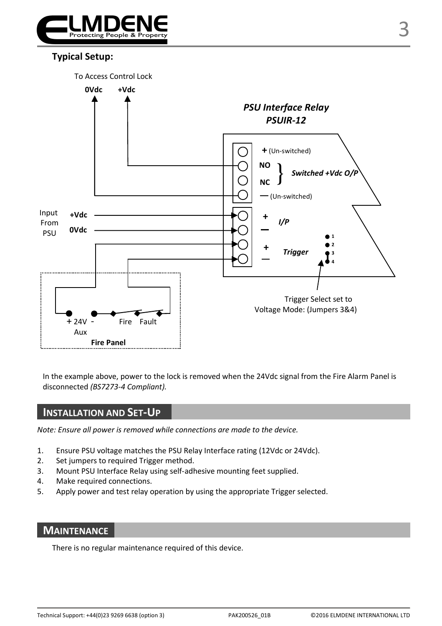

## Typical Setup:



In the example above, power to the lock is removed when the 24Vdc signal from the Fire Alarm Panel is disconnected (BS7273-4 Compliant).

### INSTALLATION AND SET-UP

Note: Ensure all power is removed while connections are made to the device.

- 1. Ensure PSU voltage matches the PSU Relay Interface rating (12Vdc or 24Vdc).
- 2. Set jumpers to required Trigger method.
- 3. Mount PSU Interface Relay using self-adhesive mounting feet supplied.
- 4. Make required connections.
- 5. Apply power and test relay operation by using the appropriate Trigger selected.

## **MAINTENANCE**

There is no regular maintenance required of this device.